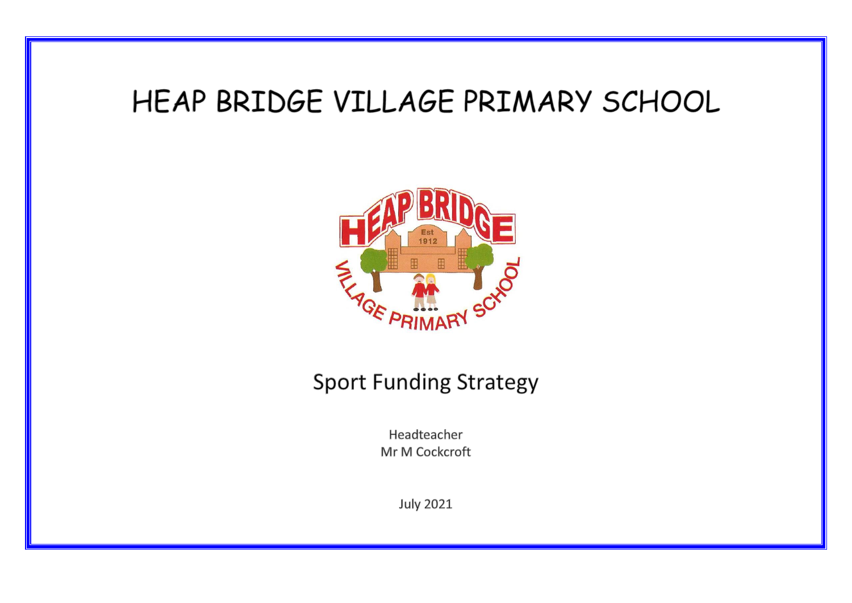# HEAP BRIDGE VILLAGE PRIMARY SCHOOL



## **Sport Funding Strategy**

Headteacher Mr M Cockcroft

**July 2021**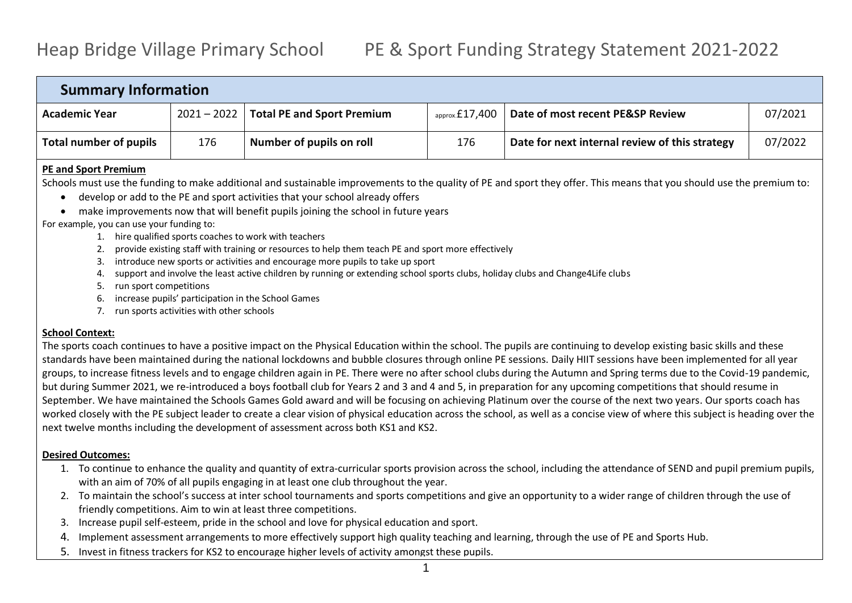### Heap Bridge Village Primary School PE & Sport Funding Strategy Statement 2021-2022

| <b>Summary Information</b> |     |                                          |                           |                                                |         |  |  |
|----------------------------|-----|------------------------------------------|---------------------------|------------------------------------------------|---------|--|--|
| <b>Academic Year</b>       |     | $2021 - 2022$ Total PE and Sport Premium | $_{\text{approx}}£17,400$ | Date of most recent PE&SP Review               | 07/2021 |  |  |
| Total number of pupils     | 176 | Number of pupils on roll                 | 176                       | Date for next internal review of this strategy | 07/2022 |  |  |
|                            |     |                                          |                           |                                                |         |  |  |

#### **PE and Sport Premium**

Schools must use the funding to make additional and sustainable improvements to the quality of PE and sport they offer. This means that you should use the premium to:

- develop or add to the PE and sport activities that your school already offers
- make improvements now that will benefit pupils joining the school in future years

#### For example, you can use your funding to:

- 1. hire qualified sports coaches to work with teachers
- 2. provide existing staff with training or resources to help them teach PE and sport more effectively
- 3. introduce new sports or activities and encourage more pupils to take up sport
- 4. support and involve the least active children by running or extending school sports clubs, holiday clubs and Change4Life clubs
- 5. run sport competitions
- 6. increase pupils' participation in the School Games
- 7. run sports activities with other schools

#### **School Context:**

The sports coach continues to have a positive impact on the Physical Education within the school. The pupils are continuing to develop existing basic skills and these standards have been maintained during the national lockdowns and bubble closures through online PE sessions. Daily HIIT sessions have been implemented for all year groups, to increase fitness levels and to engage children again in PE. There were no after school clubs during the Autumn and Spring terms due to the Covid-19 pandemic, but during Summer 2021, we re-introduced a boys football club for Years 2 and 3 and 4 and 5, in preparation for any upcoming competitions that should resume in September. We have maintained the Schools Games Gold award and will be focusing on achieving Platinum over the course of the next two years. Our sports coach has worked closely with the PE subject leader to create a clear vision of physical education across the school, as well as a concise view of where this subject is heading over the next twelve months including the development of assessment across both KS1 and KS2.

#### **Desired Outcomes:**

- 1. To continue to enhance the quality and quantity of extra-curricular sports provision across the school, including the attendance of SEND and pupil premium pupils, with an aim of 70% of all pupils engaging in at least one club throughout the year.
- 2. To maintain the school's success at inter school tournaments and sports competitions and give an opportunity to a wider range of children through the use of friendly competitions. Aim to win at least three competitions.
- 3. Increase pupil self-esteem, pride in the school and love for physical education and sport.
- 4. Implement assessment arrangements to more effectively support high quality teaching and learning, through the use of PE and Sports Hub.
- 5. Invest in fitness trackers for KS2 to encourage higher levels of activity amongst these pupils.